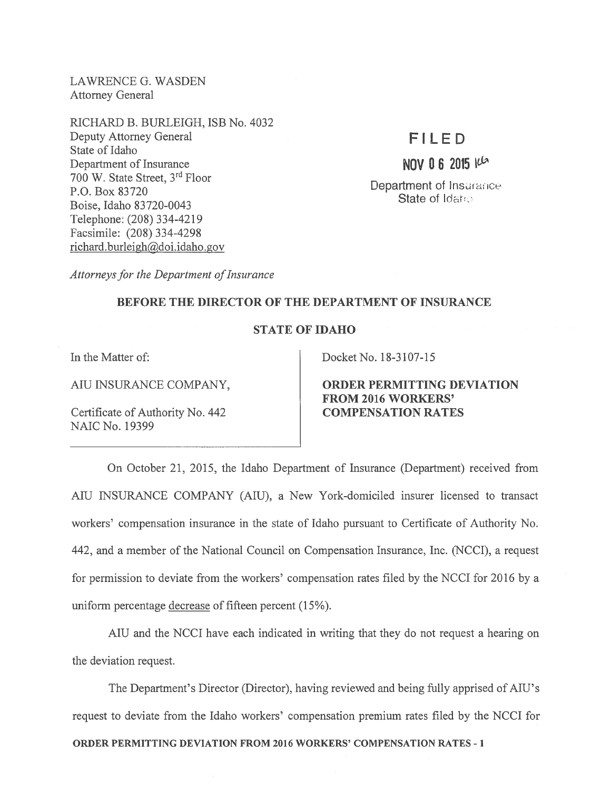LAWRENCE G. WASDEN Attorney General

RICHARD B. BURLEIGH, ISB No. 4032 Deputy Attorney General State of Idaho Department of Insurance 700 W. State Street, 3rd Floor P.O. Box 83720 Boise, Idaho 83720-0043 Telephone: (208) 334-4219 Facsimile: (208) 334-4298 richard.burleigh@doi.idaho.gov

## FILED

NOV 0 6 2015  $10^{6}$ 

Department of Insurance State of Idaho

Attorneys for the Department of Insurance

## BEFORE THE DIRECTOR OF THE DEPARTMENT OF INSURANCE

## STATE OF IDAHO

In the Matter of:

AIU INSURANCE COMPANY,

Certificate of Authority No. 442 NAIC No. 19399

Docket No. 18-3107-15

ORDER PERMITTING DEVIATION FROM 2016 WORKERS' COMPENSATION RATES

On October 21, 2015, the Idaho Department of Insurance (Department) received from AIU INSURANCE COMPANY (AIU), <sup>a</sup> New York-domiciled insurer licensed to transact workers' compensation insurance in the state of Idaho pursuan<sup>t</sup> to Certificate of Authority No. 442, and <sup>a</sup> member of the National Council on Compensation Insurance, Inc. (NCCI), <sup>a</sup> reques<sup>t</sup> for permission to deviate from the workers' compensation rates filed by the NCCI for 2016 by <sup>a</sup> uniform percentage decrease of fifteen percen<sup>t</sup> (15%).

AIU and the NCCI have each indicated in writing that they do not reques<sup>t</sup> <sup>a</sup> hearing on the deviation request.

The Department's Director (Director), having reviewed and being fully apprised of AIU's reques<sup>t</sup> to deviate from the Idaho workers' compensation premium rates filed by the NCCI for ORDER PERMITTING DEVIATION FROM 2016 WORKERS' COMPENSATION RATES -1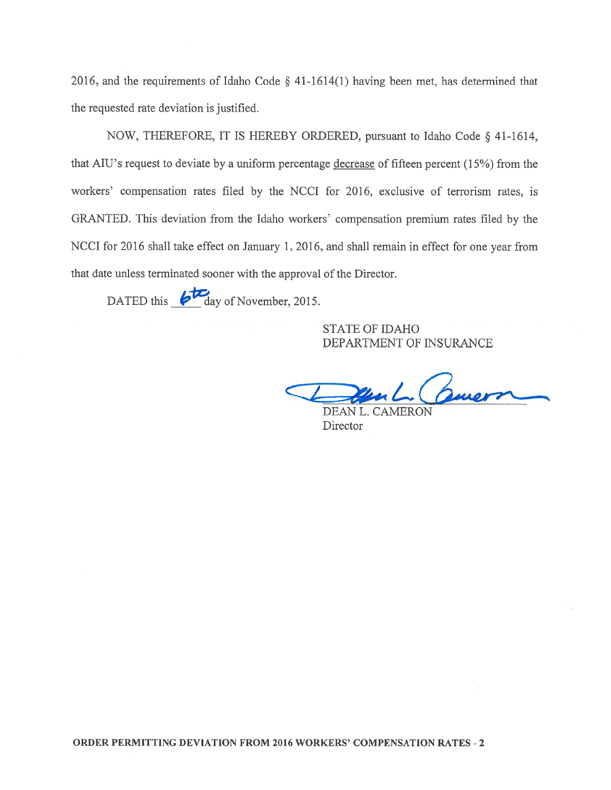2016, and the requirements of Idaho Code § 41-1614(1) having been met, has determined that the requested rate deviation is justified.

NOW, THEREFORE, IT IS HEREBY ORDERED, pursuan<sup>t</sup> to Idaho Code § 41-1614, that AIU's request to deviate by a uniform percentage decrease of fifteen percent (15%) from the workers' compensation rates filed by the NCCI for 2016, exclusive of terrorism rates, is GRANTED. This deviation from the Idaho workers' compensation premium rates filed by the NCCI for 2016 shall take effect on January 1, 2016, and shall remain in effect for one year from that date unless terminated sooner with the approval of the Director.

DATED this  $\overline{\mathcal{L}}$  day of November, 2015.

STATE OF IDAHO DEPARTMENT OF INSURANCE

un L. Comern

DEAN L. CAMERON **Director**